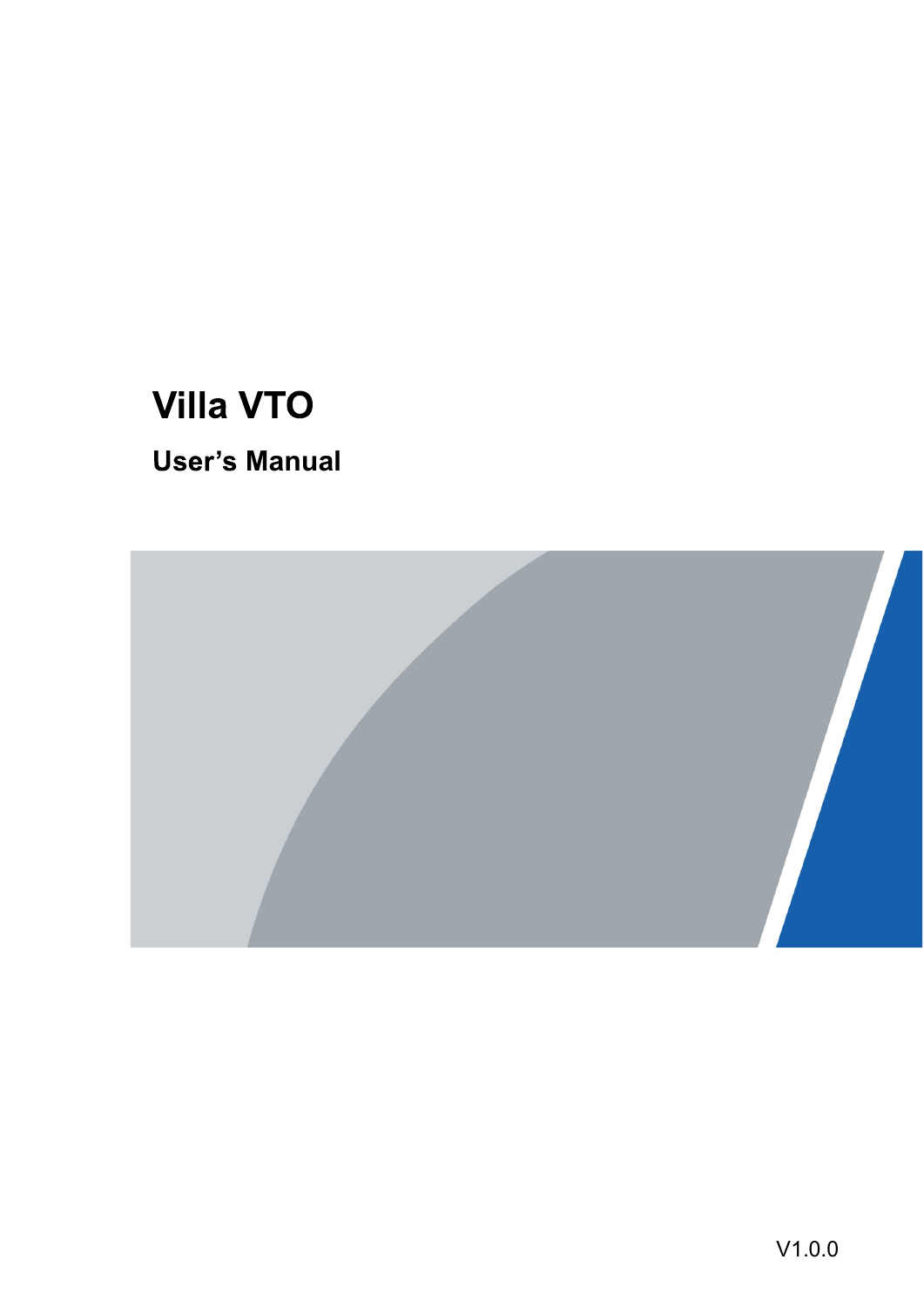# **Villa VTO**

### **User's Manual**

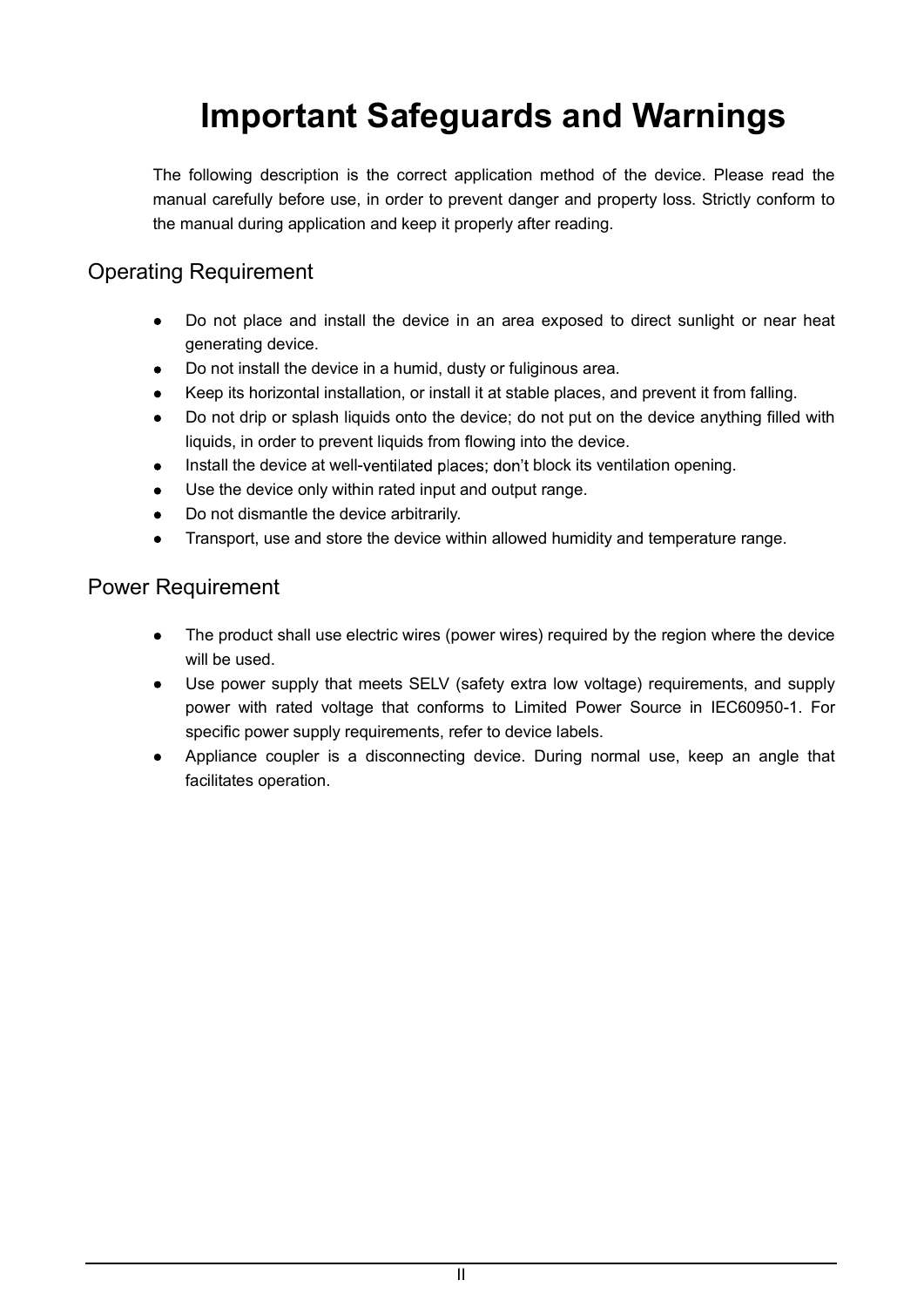# Important Safeguards and Warnings

The following description is the correct application method of the device. Please read the manual carefully before use, in order to prevent danger and property loss. Strictly conform to the manual during application and keep it properly after reading.

### Operating Requirement

- Do not place and install the device in an area exposed to direct sunlight or near heat  $\bullet$ generating device.
- Do not install the device in a humid, dusty or fuliginous area.
- Keep its horizontal installation, or install it at stable places, and prevent it from falling.
- Do not drip or splash liquids onto the device; do not put on the device anything filled with liquids, in order to prevent liquids from flowing into the device.
- Install the device at well-ventilated places; don't block its ventilation opening.
- Use the device only within rated input and output range.
- 
- Do not dismantle the device arbitrarily.<br>Transport, use and store the device within allowed humidity and temperature range.  $\bullet$

#### Power Requirement

- The product shall use electric wires (power wires) required by the region where the device will be used.
- Use power supply that meets SELV (safety extra low voltage) requirements, and supply power with rated voltage that conforms to Limited Power Source in IEC60950-1. For specific power supply requirements, refer to device labels.<br>Appliance coupler is a disconnecting device. During normal use, keep an angle that
- $\bullet$ facilitates operation.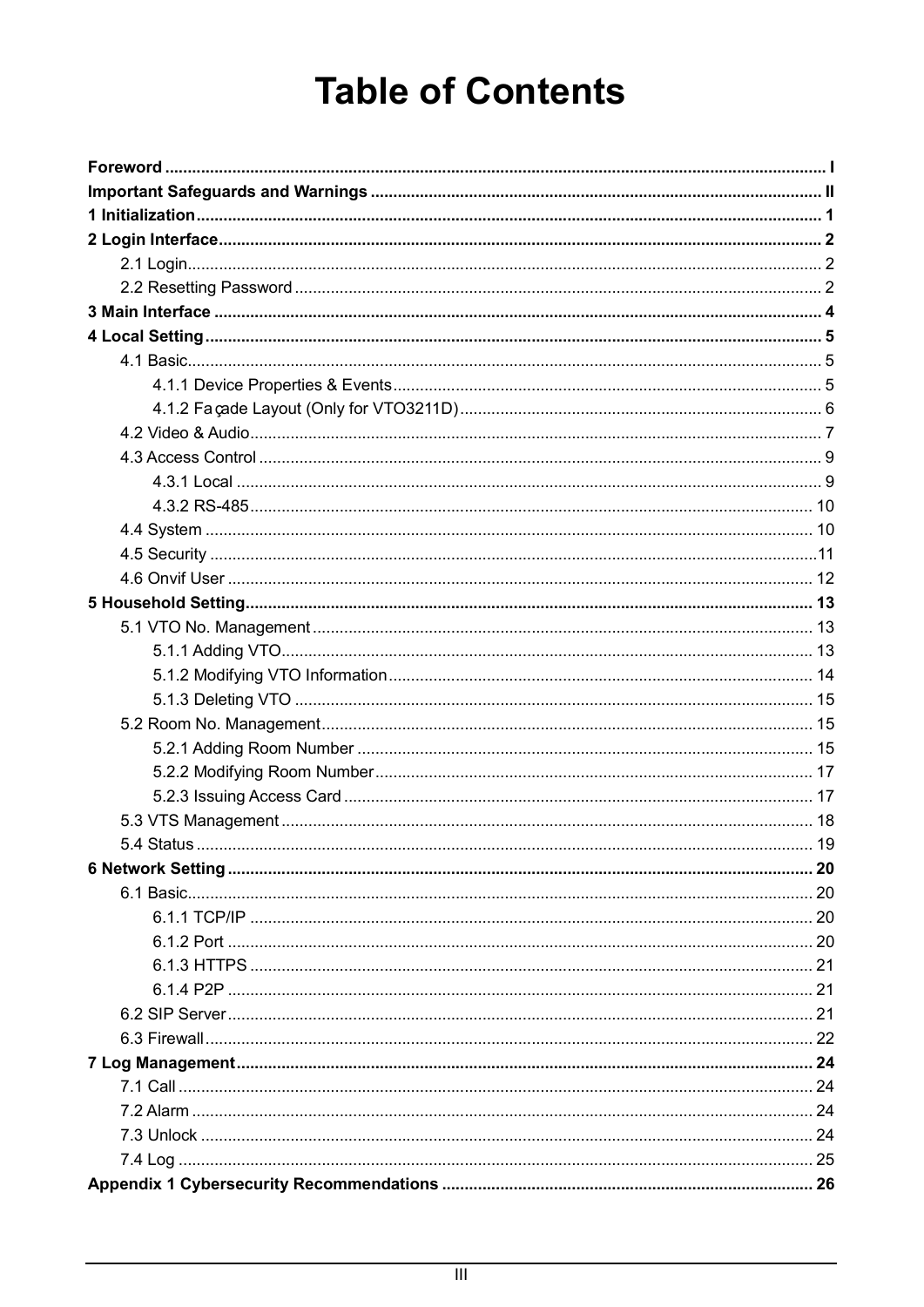# **Table of Contents**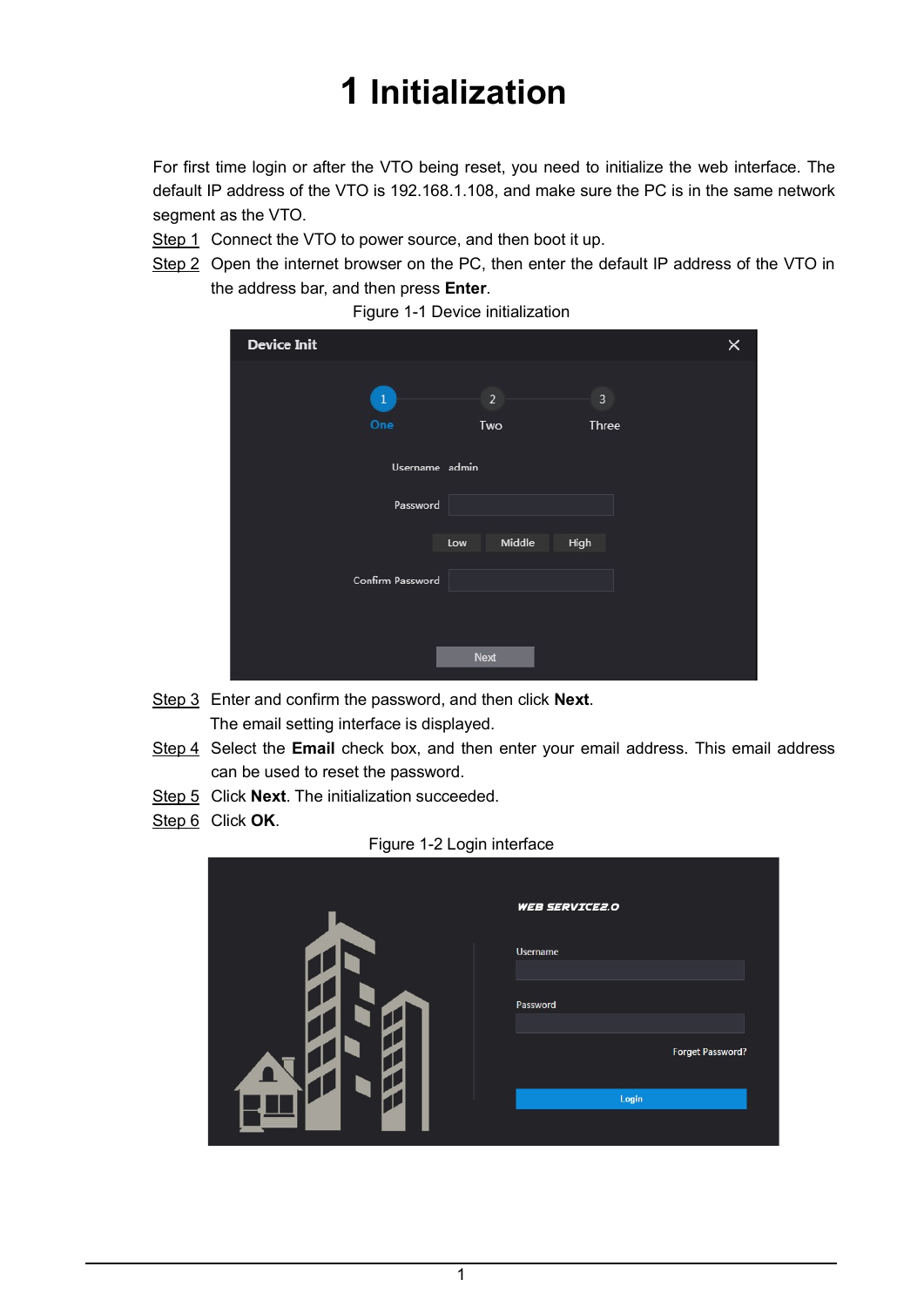# 1 Initialization

For first time login or after the VTO being reset, you need to initialize the web interface. The default IP address of the VTO is 192.168.1.108, and make sure the PC is in the same network

segment as the VTO.<br>Step 1 Connect the VTO to power source, and then boot it up.

Step 2 Open the internet browser on the PC, then enter the default IP address of the VTO in the address bar, and then press **Enter**.<br>Figure 1-1 Device initialization

| <b>Device Init</b> |                |                | × |
|--------------------|----------------|----------------|---|
| $\clubsuit$        | $\overline{2}$ | $\overline{3}$ |   |
| One                | Two            | Three          |   |
|                    | Username admin |                |   |
| Password           |                |                |   |
|                    | Middle<br>Low  | High           |   |
| Confirm Password   |                |                |   |
|                    |                |                |   |
|                    | Next           |                |   |

- Step 3 Enter and confirm the password, and then click Next. The email setting interface is displayed.
- Step 4 Select the Email check box, and then enter your email address. This email address can be used to reset the password.
- Step 5 Click Next. The initialization succeeded.
- $Step 6$  Click **OK**.<br>Figure 1-2 Login interface

| Figure 1-2 Login interface |                       |
|----------------------------|-----------------------|
|                            | <b>WEB SERVICE2.0</b> |
|                            | Username              |
|                            | Password              |
|                            | Forget Password?      |
|                            | Login                 |
|                            |                       |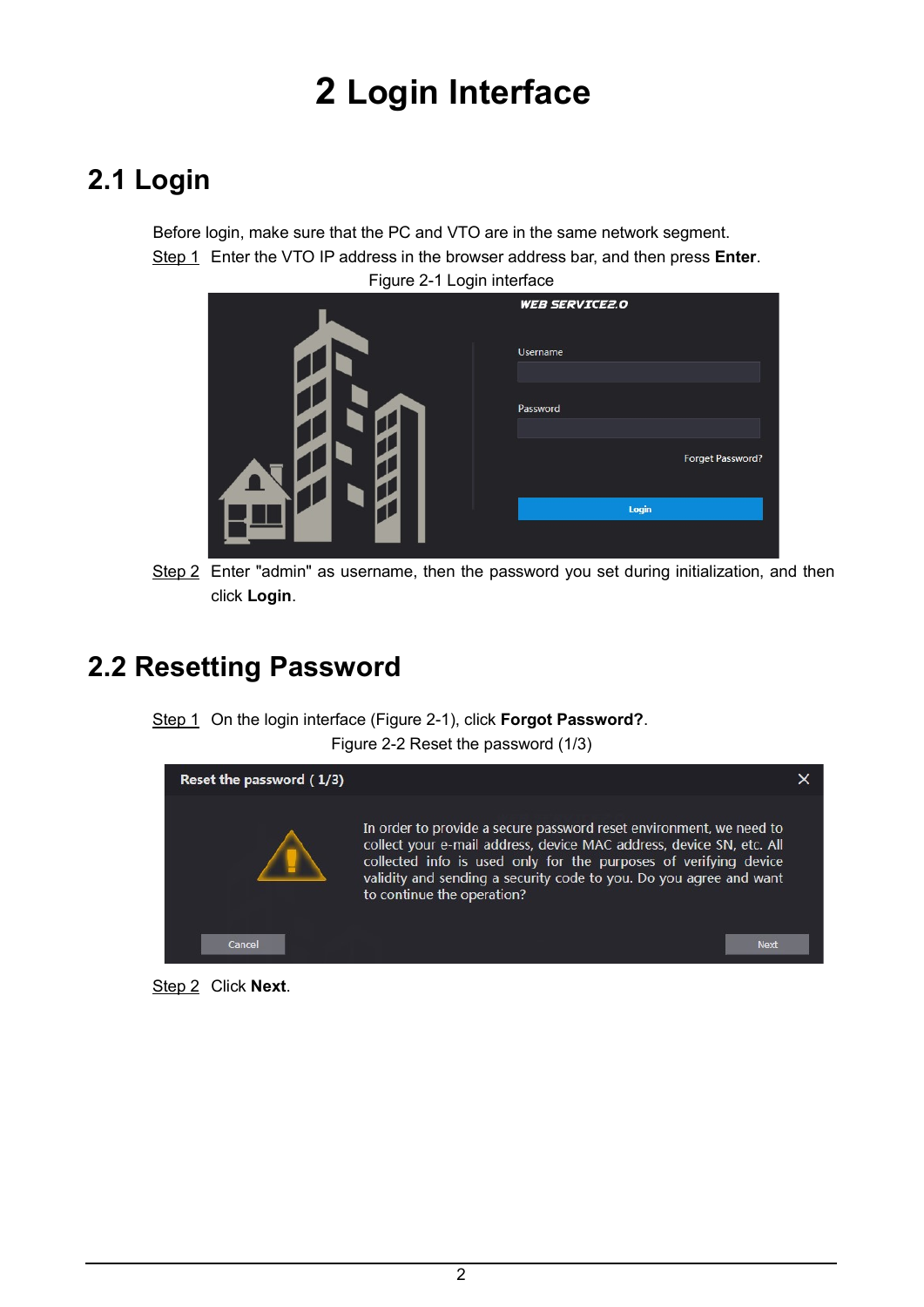# 2 Login Interface

## 2.1 Login

Before login, make sure that the PC and VTO are in the same network segment. Step 1 Enter the VTO IP address in the browser address bar, and then press **Enter**.<br>Figure 2-1 Login interface

| ັ<br>ັ |                         |
|--------|-------------------------|
|        | <b>WEB SERVICE2.0</b>   |
|        | Username                |
|        |                         |
|        | Password                |
|        |                         |
|        | <b>Forget Password?</b> |
|        | Login                   |
|        |                         |

Step 2 Enter "admin" as username, then the password you set during initialization, and then click Login.

### 2.2 Resetting Password

Step 1 On the login interface (Figure 2-1), click **Forgot Password?**.<br>Figure 2-2 Reset the password (1/3)



Step 2 Click Next.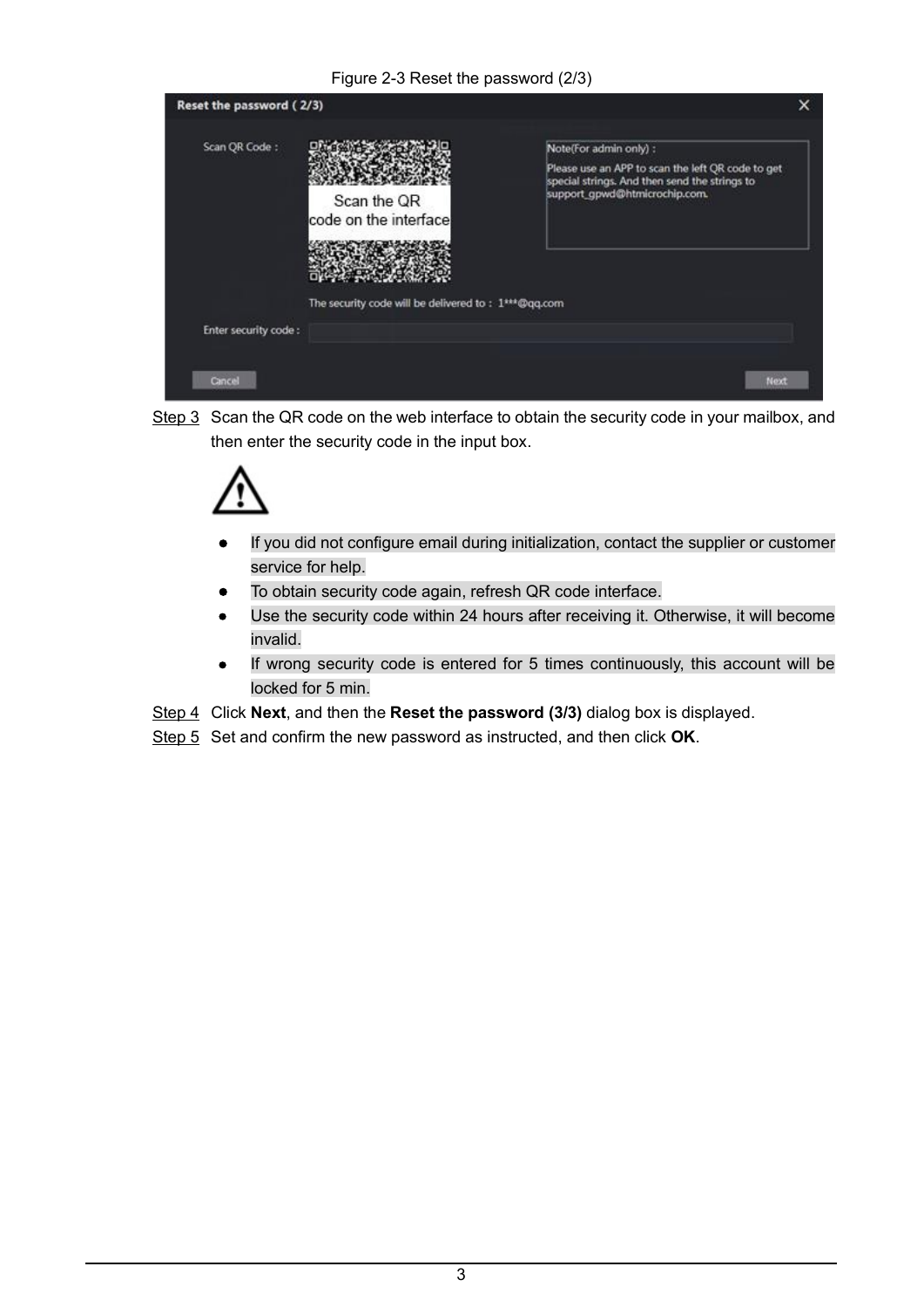#### Figure 2-3 Reset the password (2/3)

| Reset the password (2/3)       |                                                     |                                                                                                                                                               |  |
|--------------------------------|-----------------------------------------------------|---------------------------------------------------------------------------------------------------------------------------------------------------------------|--|
| Scan QR Code:                  | Scan the QR<br>code on the interface                | Note(For admin only) :<br>Please use an APP to scan the left QR code to get<br>special strings. And then send the strings to<br>support_gpwd@htmicrochip.com. |  |
| Enter security code:<br>Cancel | The security code will be delivered to: 1***@qq.com | Next                                                                                                                                                          |  |

Step 3 Scan the QR code on the web interface to obtain the security code in your mailbox, and then enter the security code in the input box.



- If you did not configure email during initialization, contact the supplier or customer  $\bullet$ service for help.
- To obtain security code again, refresh QR code interface.  $\bullet$
- Use the security code within 24 hours after receiving it. Otherwise, it will become  $\bullet$ invalid.
- If wrong security code is entered for 5 times continuously, this account will be  $\bullet$ locked for 5 min.
- Step 4 Click Next, and then the Reset the password (3/3) dialog box is displayed.
- Step 5 Set and confirm the new password as instructed, and then click OK.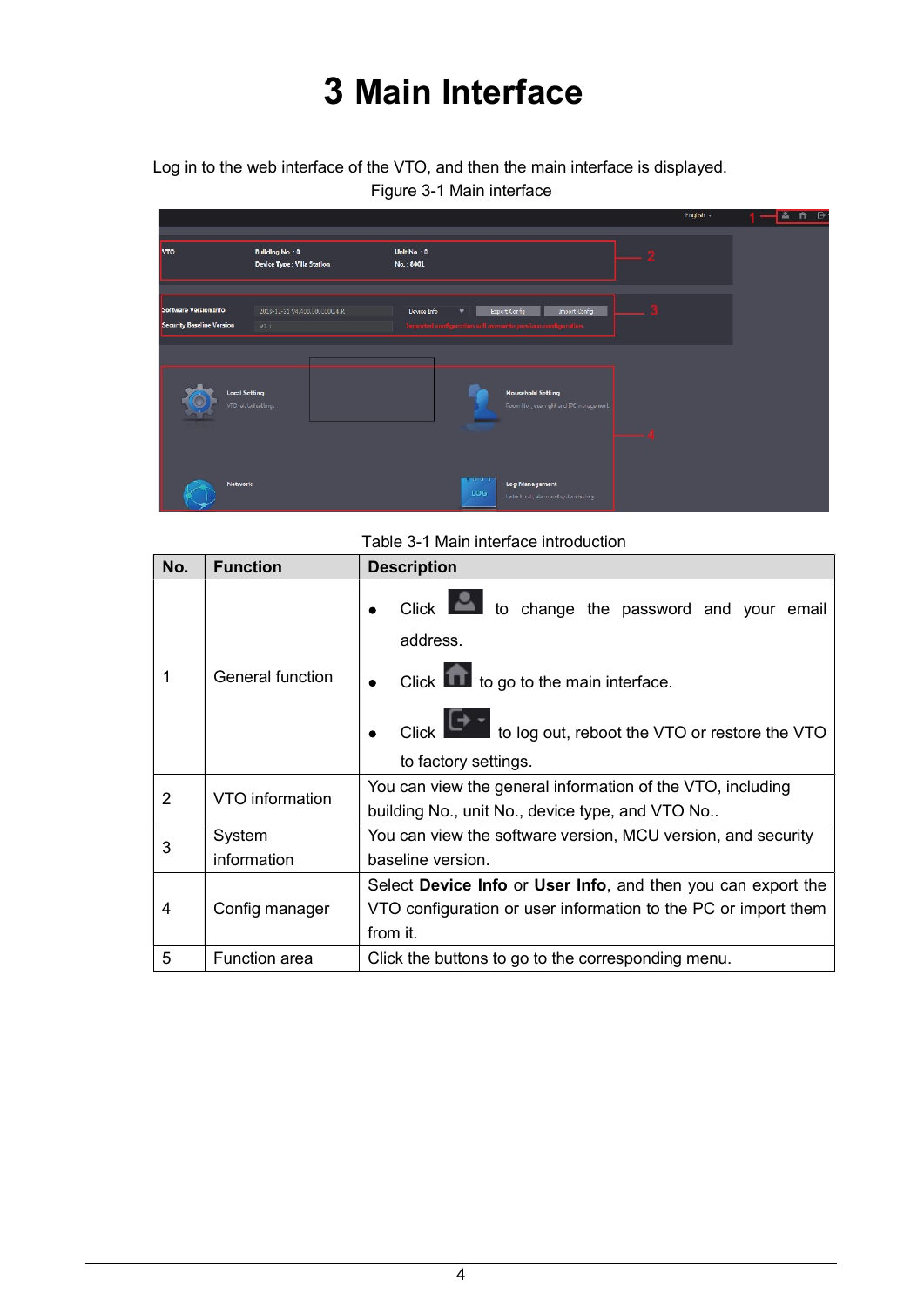# 3 Main Interface

Log in to the web interface of the VTO, and then the main interface is displayed.

Figure 3-1 Main interface

|                                                           |                                                       |                                                                                                                                                   | Friglish - | $\Theta$<br>$\Delta$<br>n |
|-----------------------------------------------------------|-------------------------------------------------------|---------------------------------------------------------------------------------------------------------------------------------------------------|------------|---------------------------|
| <b>VTO</b>                                                | <b>Building No.: 0</b><br>Device Type : Villa Station | Unit No.: 0<br>No.: 8001                                                                                                                          |            |                           |
| Software Version Info<br><b>Security Baseline Version</b> | 2019-12-31 V4.400.0000000.4.K<br>V2.1                 | Export Config<br>Import Config<br><b>Device Info</b><br>$\overline{\phantom{a}}$<br>Imported nonfiguration will account e previous configuration. |            |                           |
| <b>Local Setting</b>                                      | VTC related settings                                  | <b>Household Setting</b><br>Room No., user right and IPC management.                                                                              |            |                           |
| Network                                                   |                                                       | <b>COLORADO</b><br>Log Management<br>LOG<br>Unlock, call, alarm and system history.                                                               |            |                           |

Table 3-1 Main interface introduction

| No.            | <b>Function</b>      | <b>Description</b>                                             |
|----------------|----------------------|----------------------------------------------------------------|
|                |                      | Click to change the password and your email<br>address.        |
|                | General function     | Click to go to the main interface.                             |
|                |                      | Click to log out, reboot the VTO or restore the VTO            |
|                |                      | to factory settings.                                           |
| $\overline{2}$ | VTO information      | You can view the general information of the VTO, including     |
|                |                      | building No., unit No., device type, and VTO No                |
|                | System               | You can view the software version, MCU version, and security   |
| 3              | information          | baseline version.                                              |
|                |                      | Select Device Info or User Info, and then you can export the   |
| 4              | Config manager       | VTO configuration or user information to the PC or import them |
|                |                      | from it.                                                       |
| 5              | <b>Function</b> area | Click the buttons to go to the corresponding menu.             |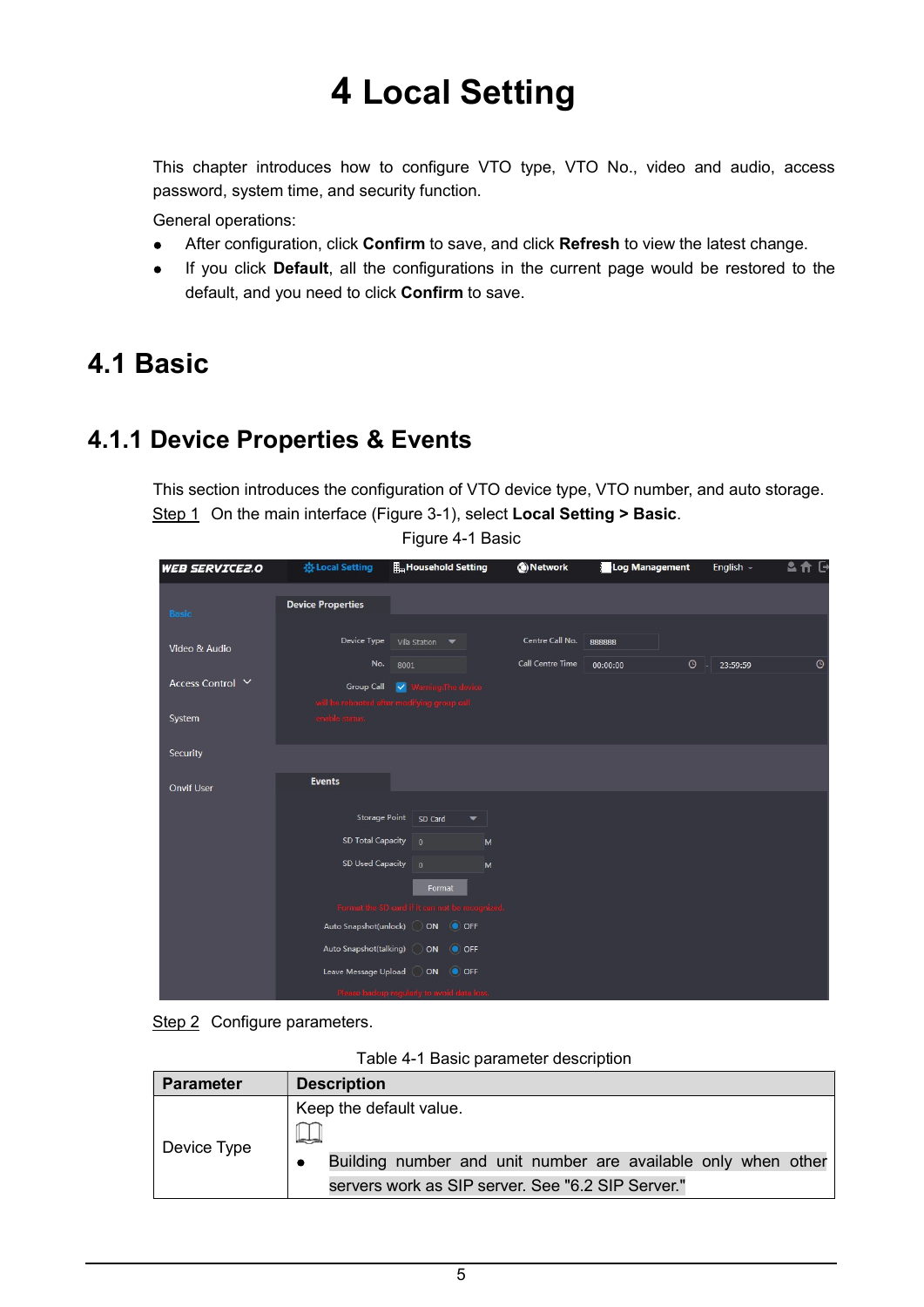# 4 Local Setting

This chapter introduces how to configure VTO type, VTO No., video and audio, access password, system time, and security function.

General operations:

- $\bullet$ After configuration, click Confirm to save, and click Refresh to view the latest change.
- $\bullet$ If you click Default, all the configurations in the current page would be restored to the default, and you need to click Confirm to save.

### 4.1 Basic

### 4.1.1 Device Properties & Events

This section introduces the configuration of VTO device type, VTO number, and auto storage. Step 1 On the main interface (Figure 3-1), select **Local Setting > Basic.**<br>Figure 4-1 Basic

| <b>WEB SERVICE2.0</b> | <b>卷 Local Setting</b>   | <b>IL Household Setting</b>                     | (b) Network      | Log Management      | English -     | 各合日     |
|-----------------------|--------------------------|-------------------------------------------------|------------------|---------------------|---------------|---------|
|                       | <b>Device Properties</b> |                                                 |                  |                     |               |         |
| <b>Basic</b>          |                          |                                                 |                  |                     |               |         |
|                       | Device Type              | Villa Station V                                 | Centre Call No.  | 888888              |               |         |
| Video & Audio         | No.                      | 8001                                            | Call Centre Time | $\odot$<br>00:00:00 | H<br>23:59:59 | $\odot$ |
| Access Control Y      |                          | Group Call V Warning: The device                |                  |                     |               |         |
|                       |                          | will be rebooted after modifying group call     |                  |                     |               |         |
| System                | enable status.           |                                                 |                  |                     |               |         |
|                       |                          |                                                 |                  |                     |               |         |
| Security              |                          |                                                 |                  |                     |               |         |
| <b>Onvif User</b>     | <b>Events</b>            |                                                 |                  |                     |               |         |
|                       |                          |                                                 |                  |                     |               |         |
|                       | Storage Point            | SD Card<br>$\overline{\phantom{a}}$             |                  |                     |               |         |
|                       | <b>SD Total Capacity</b> | $\Omega$<br>M                                   |                  |                     |               |         |
|                       | SD Used Capacity 0       | M                                               |                  |                     |               |         |
|                       |                          | Format                                          |                  |                     |               |         |
|                       |                          | Format the SD card if it can not be recognized. |                  |                     |               |         |
|                       |                          | Auto Snapshot(unlock) ON OFF                    |                  |                     |               |         |
|                       | Auto Snapshot(talking)   | ON OFF                                          |                  |                     |               |         |
|                       |                          | Leave Message Upload ( ) ON ( ) OFF             |                  |                     |               |         |
|                       |                          | Please backup regularly to avoid data loss.     |                  |                     |               |         |

Step 2 Configure parameters.

| Table 4-1 Basic parameter description |  |  |
|---------------------------------------|--|--|
|---------------------------------------|--|--|

| <b>Parameter</b> | <b>Description</b>                                                                                                                                      |
|------------------|---------------------------------------------------------------------------------------------------------------------------------------------------------|
| Device Type      | Keep the default value.<br>ادباطا<br>Building number and unit number are available only when other<br>servers work as SIP server. See "6.2 SIP Server." |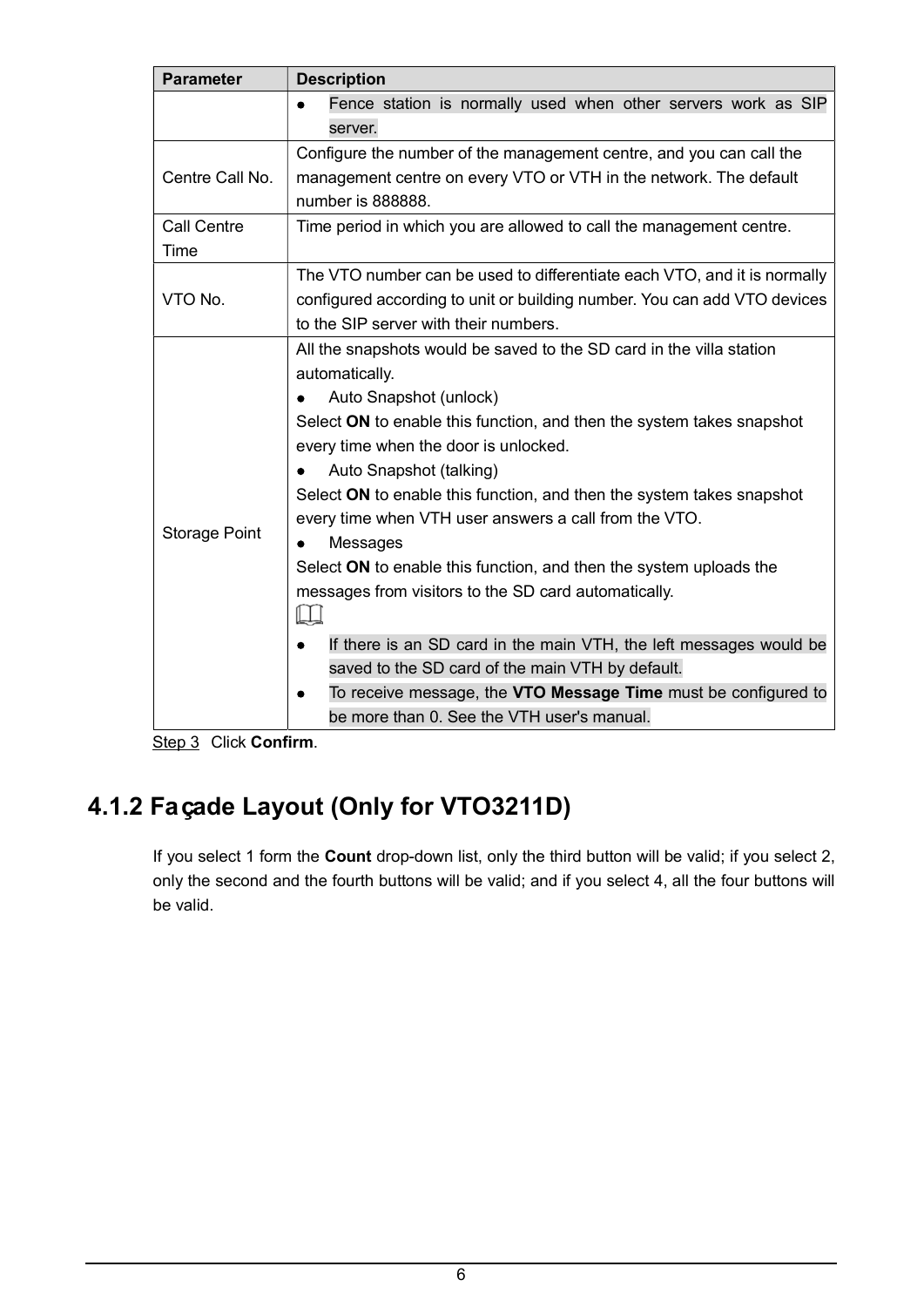| <b>Parameter</b>     | <b>Description</b>                                                          |
|----------------------|-----------------------------------------------------------------------------|
|                      | Fence station is normally used when other servers work as SIP               |
|                      | server.                                                                     |
|                      | Configure the number of the management centre, and you can call the         |
| Centre Call No.      | management centre on every VTO or VTH in the network. The default           |
|                      | number is 888888.                                                           |
| <b>Call Centre</b>   | Time period in which you are allowed to call the management centre.         |
| Time                 |                                                                             |
|                      | The VTO number can be used to differentiate each VTO, and it is normally    |
| VTO No.              | configured according to unit or building number. You can add VTO devices    |
|                      | to the SIP server with their numbers.                                       |
|                      | All the snapshots would be saved to the SD card in the villa station        |
|                      | automatically.                                                              |
|                      | Auto Snapshot (unlock)                                                      |
|                      | Select ON to enable this function, and then the system takes snapshot       |
|                      | every time when the door is unlocked.                                       |
|                      | Auto Snapshot (talking)                                                     |
|                      | Select ON to enable this function, and then the system takes snapshot       |
|                      | every time when VTH user answers a call from the VTO.                       |
| <b>Storage Point</b> | Messages<br>$\bullet$                                                       |
|                      | Select ON to enable this function, and then the system uploads the          |
|                      | messages from visitors to the SD card automatically.                        |
|                      | Щ                                                                           |
|                      | If there is an SD card in the main VTH, the left messages would be          |
|                      | saved to the SD card of the main VTH by default.                            |
|                      | To receive message, the VTO Message Time must be configured to<br>$\bullet$ |
|                      | be more than 0. See the VTH user's manual.                                  |

Step 3 Click Confirm.

### 4.1.2 Façade Layout (Only for VTO3211D)

If you select 1 form the Count drop-down list, only the third button will be valid; if you select 2, only the second and the fourth buttons will be valid; and if you select 4, all the four buttons will be valid.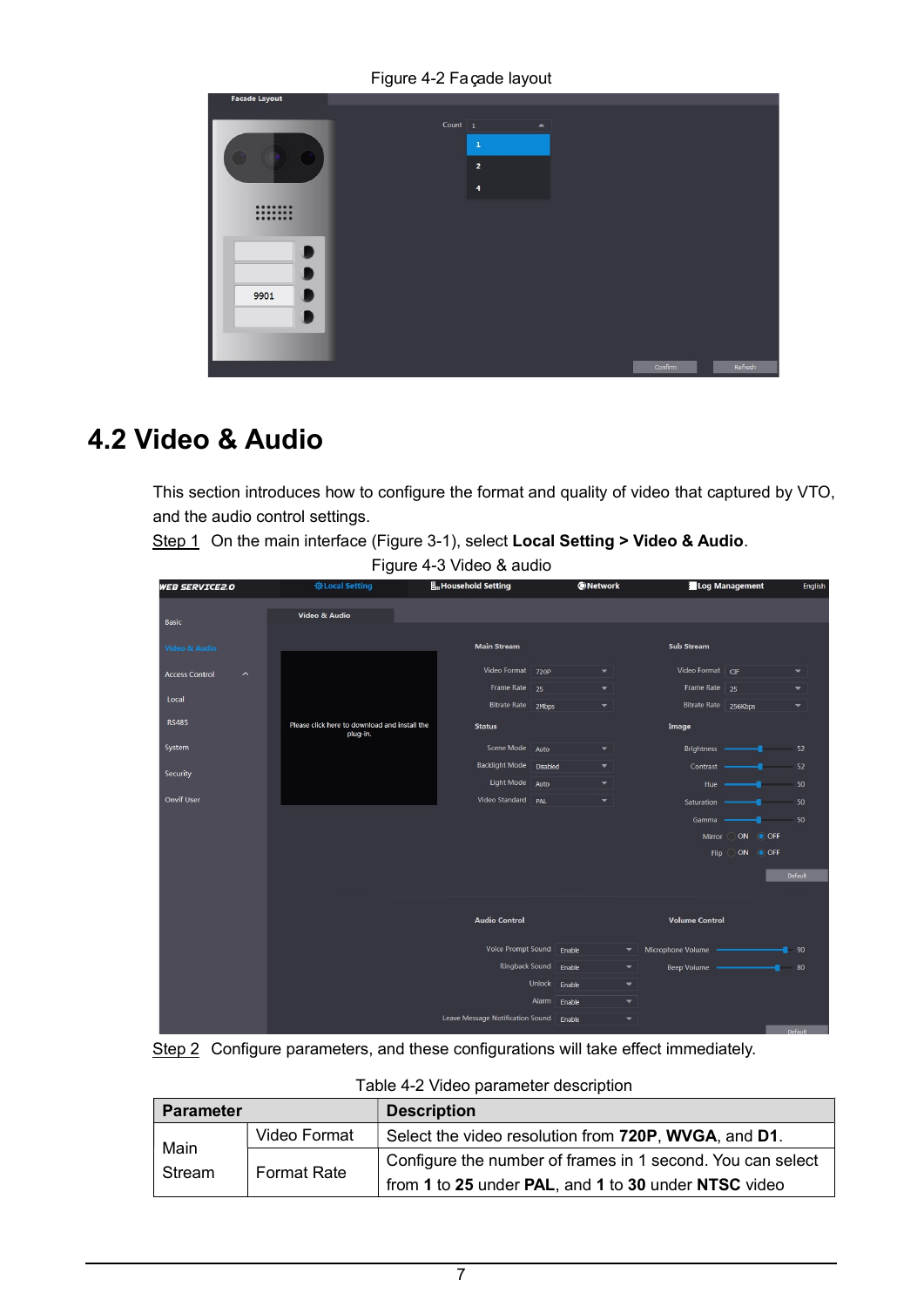Figure 4-2 Façade layout

|  |                                                                                                | Refresh |
|--|------------------------------------------------------------------------------------------------|---------|
|  | Count $\boxed{1}$<br>$\blacktriangle$<br>$\mathbf 1$<br>$\mathbf 2$<br>$\overline{\mathbf{4}}$ | Confirm |

### 4.2 Video & Audio

This section introduces how to configure the format and quality of video that captured by VTO, and the audio control settings.<br>Step 1 On the main interface (Figure 3-1), select Local Setting > Video & Audio.

Figure 4-3 Video & audio

| <b>WEB SERVICE2.0</b>                            | ※Local Setting                                            | Household Setting                | <b>ONetwork</b>                             | Log Management                                  | English                  |
|--------------------------------------------------|-----------------------------------------------------------|----------------------------------|---------------------------------------------|-------------------------------------------------|--------------------------|
| Basic                                            | Video & Audio                                             |                                  |                                             |                                                 |                          |
| <b>Video &amp; Audio</b>                         |                                                           | <b>Main Stream</b>               |                                             | <b>Sub Stream</b>                               |                          |
| <b>Access Control</b><br>$\widehat{\phantom{a}}$ |                                                           | Video Format 720P                | $\overline{\phantom{0}}$                    | Video Format CIF                                | $\overline{\phantom{a}}$ |
|                                                  |                                                           | Frame Rate 25                    | $\overline{\phantom{0}}$                    | Frame Rate 25                                   | ▼                        |
| Local                                            |                                                           | Bitrate Rate 2Mbps               | $\overline{\phantom{0}}$                    | Bitrate Rate 256Kbps                            | ▼                        |
| <b>RS485</b>                                     | Please click here to download and install the<br>plug-in. | <b>Status</b>                    |                                             | Image                                           |                          |
| System                                           |                                                           | Scene Mode                       | Auto<br>▼                                   | Brightness -                                    | 52<br>--                 |
| Security                                         |                                                           | <b>Backlight Mode</b>            | <b>Disabled</b><br>$\overline{\phantom{0}}$ | Contrast -                                      | 52                       |
|                                                  |                                                           | Light Mode                       | Auto<br>$\overline{\phantom{0}}$            | Hue                                             | 50                       |
| <b>Onvif User</b>                                |                                                           | Video Standard                   | PAL<br>$\blacktriangledown$                 | Saturation                                      | 50                       |
|                                                  |                                                           |                                  |                                             | Gamma                                           | 50                       |
|                                                  |                                                           |                                  |                                             | Mirror                                          | ON OFF                   |
|                                                  |                                                           |                                  |                                             | Flip                                            | ON OFF                   |
|                                                  |                                                           |                                  |                                             |                                                 | Default                  |
|                                                  |                                                           |                                  |                                             |                                                 |                          |
|                                                  |                                                           | <b>Audio Control</b>             |                                             | <b>Volume Control</b>                           |                          |
|                                                  |                                                           | Voice Prompt Sound               | Enable                                      | Microphone Volume -<br>$\overline{\phantom{a}}$ | 90                       |
|                                                  |                                                           | <b>Ringback Sound</b>            | Enable                                      | $\blacktriangledown$<br>Beep Volume             | 80                       |
|                                                  |                                                           |                                  | <b>Unlock</b><br>Enable                     | ▼                                               |                          |
|                                                  |                                                           |                                  | Alarm<br>Enable                             | $\overline{\phantom{a}}$                        |                          |
|                                                  |                                                           | Leave Message Notification Sound | Enable                                      | ▼                                               |                          |
|                                                  |                                                           |                                  |                                             |                                                 | Default                  |



| <b>Parameter</b> |                    | <b>Description</b>                                         |  |
|------------------|--------------------|------------------------------------------------------------|--|
| Main             | Video Format       | Select the video resolution from 720P, WVGA, and D1.       |  |
| Stream           | <b>Format Rate</b> | Configure the number of frames in 1 second. You can select |  |
|                  |                    | from 1 to 25 under PAL, and 1 to 30 under NTSC video       |  |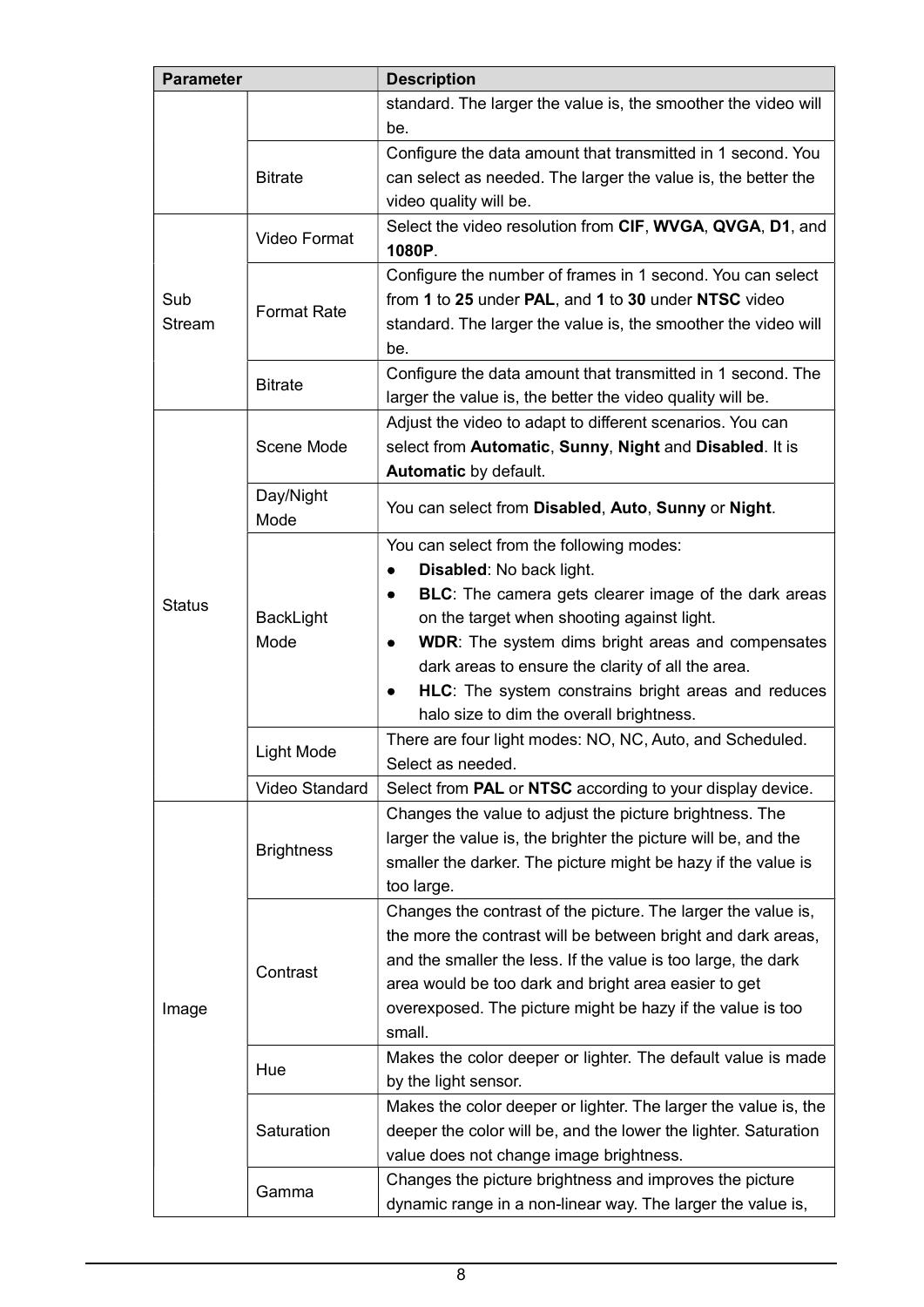| <b>Parameter</b>  |                    | <b>Description</b>                                                    |  |
|-------------------|--------------------|-----------------------------------------------------------------------|--|
|                   |                    | standard. The larger the value is, the smoother the video will        |  |
|                   |                    | be.                                                                   |  |
|                   |                    | Configure the data amount that transmitted in 1 second. You           |  |
|                   | <b>Bitrate</b>     | can select as needed. The larger the value is, the better the         |  |
|                   |                    | video quality will be.                                                |  |
|                   | Video Format       | Select the video resolution from CIF, WVGA, QVGA, D1, and<br>1080P.   |  |
|                   |                    | Configure the number of frames in 1 second. You can select            |  |
| Sub               | <b>Format Rate</b> | from 1 to 25 under PAL, and 1 to 30 under NTSC video                  |  |
| <b>Stream</b>     |                    | standard. The larger the value is, the smoother the video will<br>be. |  |
|                   | <b>Bitrate</b>     | Configure the data amount that transmitted in 1 second. The           |  |
|                   |                    | larger the value is, the better the video quality will be.            |  |
|                   |                    | Adjust the video to adapt to different scenarios. You can             |  |
|                   | Scene Mode         | select from Automatic, Sunny, Night and Disabled. It is               |  |
|                   |                    | Automatic by default.                                                 |  |
|                   | Day/Night<br>Mode  | You can select from Disabled, Auto, Sunny or Night.                   |  |
|                   |                    | You can select from the following modes:                              |  |
|                   |                    | Disabled: No back light.<br>٠                                         |  |
| <b>Status</b>     |                    | <b>BLC:</b> The camera gets clearer image of the dark areas           |  |
|                   | BackLight          | on the target when shooting against light.                            |  |
|                   | Mode               | <b>WDR:</b> The system dims bright areas and compensates<br>$\bullet$ |  |
|                   |                    | dark areas to ensure the clarity of all the area.                     |  |
|                   |                    | HLC: The system constrains bright areas and reduces<br>$\bullet$      |  |
|                   |                    | halo size to dim the overall brightness.                              |  |
|                   |                    | There are four light modes: NO, NC, Auto, and Scheduled.              |  |
|                   | Light Mode         | Select as needed.                                                     |  |
|                   | Video Standard     | Select from PAL or NTSC according to your display device.             |  |
|                   |                    | Changes the value to adjust the picture brightness. The               |  |
|                   |                    | larger the value is, the brighter the picture will be, and the        |  |
|                   | <b>Brightness</b>  | smaller the darker. The picture might be hazy if the value is         |  |
|                   |                    | too large.                                                            |  |
|                   |                    | Changes the contrast of the picture. The larger the value is,         |  |
| Contrast<br>Image |                    | the more the contrast will be between bright and dark areas,          |  |
|                   |                    | and the smaller the less. If the value is too large, the dark         |  |
|                   |                    | area would be too dark and bright area easier to get                  |  |
|                   |                    | overexposed. The picture might be hazy if the value is too            |  |
|                   |                    | small.                                                                |  |
|                   |                    | Makes the color deeper or lighter. The default value is made          |  |
|                   | Hue                | by the light sensor.                                                  |  |
|                   |                    | Makes the color deeper or lighter. The larger the value is, the       |  |
|                   | Saturation         | deeper the color will be, and the lower the lighter. Saturation       |  |
|                   |                    | value does not change image brightness.                               |  |
|                   |                    | Changes the picture brightness and improves the picture               |  |
|                   | Gamma              | dynamic range in a non-linear way. The larger the value is,           |  |
|                   |                    |                                                                       |  |